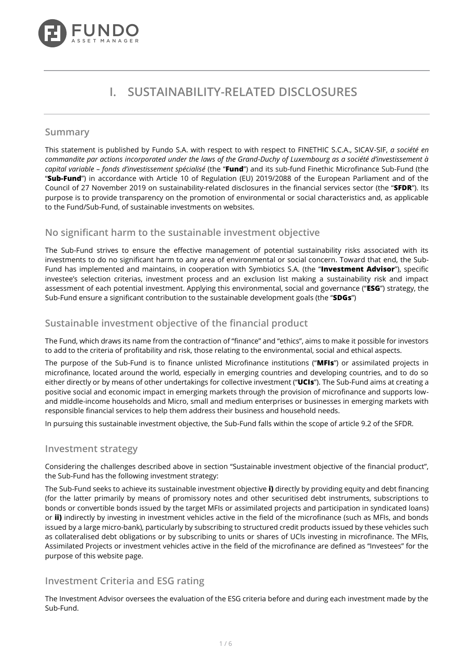

# **I. SUSTAINABILITY-RELATED DISCLOSURES**

### **Summary**

This statement is published by Fundo S.A. with respect to with respect to FINETHIC S.C.A., SICAV-SIF, *a société en commandite par actions incorporated under the laws of the Grand-Duchy of Luxembourg as a société d'investissement à capital variable – fonds d'investissement spécialisé* (the "**Fund**") and its sub-fund Finethic Microfinance Sub-Fund (the "**Sub-Fund**") in accordance with Article 10 of Regulation (EU) 2019/2088 of the European Parliament and of the Council of 27 November 2019 on sustainability-related disclosures in the financial services sector (the "**SFDR**"). Its purpose is to provide transparency on the promotion of environmental or social characteristics and, as applicable to the Fund/Sub-Fund, of sustainable investments on websites.

# **No significant harm to the sustainable investment objective**

The Sub-Fund strives to ensure the effective management of potential sustainability risks associated with its investments to do no significant harm to any area of environmental or social concern. Toward that end, the Sub-Fund has implemented and maintains, in cooperation with Symbiotics S.A. (the "**Investment Advisor**"), specific investee's selection criterias, investment process and an exclusion list making a sustainability risk and impact assessment of each potential investment. Applying this environmental, social and governance ("**ESG**") strategy, the Sub-Fund ensure a significant contribution to the sustainable development goals (the "**SDGs**")

# **Sustainable investment objective of the financial product**

The Fund, which draws its name from the contraction of "finance" and "ethics", aims to make it possible for investors to add to the criteria of profitability and risk, those relating to the environmental, social and ethical aspects.

The purpose of the Sub-Fund is to finance unlisted Microfinance institutions ("**MFIs**") or assimilated projects in microfinance, located around the world, especially in emerging countries and developing countries, and to do so either directly or by means of other undertakings for collective investment ("**UCIs**"). The Sub-Fund aims at creating a positive social and economic impact in emerging markets through the provision of microfinance and supports lowand middle-income households and Micro, small and medium enterprises or businesses in emerging markets with responsible financial services to help them address their business and household needs.

In pursuing this sustainable investment objective, the Sub-Fund falls within the scope of article 9.2 of the SFDR.

## **Investment strategy**

Considering the challenges described above in section "Sustainable investment objective of the financial product", the Sub-Fund has the following investment strategy:

The Sub-Fund seeks to achieve its sustainable investment objective **i)** directly by providing equity and debt financing (for the latter primarily by means of promissory notes and other securitised debt instruments, subscriptions to bonds or convertible bonds issued by the target MFIs or assimilated projects and participation in syndicated loans) or **ii)** indirectly by investing in investment vehicles active in the field of the microfinance (such as MFIs, and bonds issued by a large micro-bank), particularly by subscribing to structured credit products issued by these vehicles such as collateralised debt obligations or by subscribing to units or shares of UCIs investing in microfinance. The MFIs, Assimilated Projects or investment vehicles active in the field of the microfinance are defined as "Investees" for the purpose of this website page.

## **Investment Criteria and ESG rating**

The Investment Advisor oversees the evaluation of the ESG criteria before and during each investment made by the Sub-Fund.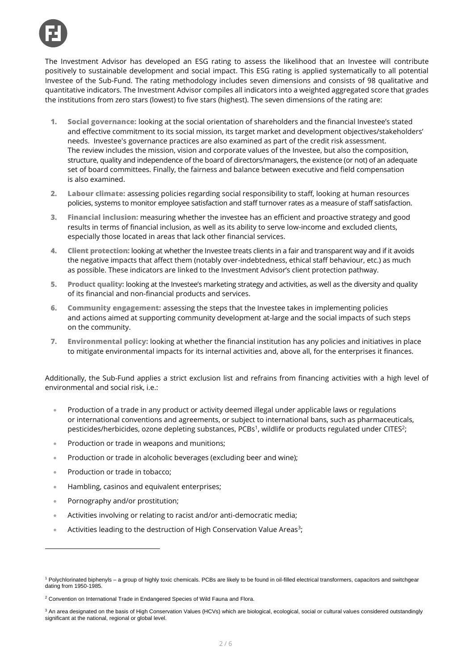The Investment Advisor has developed an ESG rating to assess the likelihood that an Investee will contribute positively to sustainable development and social impact. This ESG rating is applied systematically to all potential Investee of the Sub-Fund. The rating methodology includes seven dimensions and consists of 98 qualitative and quantitative indicators. The Investment Advisor compiles all indicators into a weighted aggregated score that grades the institutions from zero stars (lowest) to five stars (highest). The seven dimensions of the rating are:

- **1. Social governance:** looking at the social orientation of shareholders and the financial Investee's stated and effective commitment to its social mission, its target market and development objectives/stakeholders' needs. Investee's governance practices are also examined as part of the credit risk assessment. The review includes the mission, vision and corporate values of the Investee, but also the composition, structure, quality and independence of the board of directors/managers, the existence (or not) of an adequate set of board committees. Finally, the fairness and balance between executive and field compensation is also examined.
- **2. Labour climate:** assessing policies regarding social responsibility to staff, looking at human resources policies, systems to monitor employee satisfaction and staff turnover rates as a measure of staff satisfaction.
- **3. Financial inclusion:** measuring whether the investee has an efficient and proactive strategy and good results in terms of financial inclusion, as well as its ability to serve low-income and excluded clients, especially those located in areas that lack other financial services.
- **4. Client protection:** looking at whether the Investee treats clients in a fair and transparent way and if it avoids the negative impacts that affect them (notably over-indebtedness, ethical staff behaviour, etc.) as much as possible. These indicators are linked to the Investment Advisor's client protection pathway.
- **5. Product quality:** looking at the Investee's marketing strategy and activities, as well as the diversity and quality of its financial and non-financial products and services.
- **6. Community engagement:** assessing the steps that the Investee takes in implementing policies and actions aimed at supporting community development at-large and the social impacts of such steps on the community.
- **7. Environmental policy:** looking at whether the financial institution has any policies and initiatives in place to mitigate environmental impacts for its internal activities and, above all, for the enterprises it finances.

Additionally, the Sub-Fund applies a strict exclusion list and refrains from financing activities with a high level of environmental and social risk, i.e.:

- Production of a trade in any product or activity deemed illegal under applicable laws or regulations or international conventions and agreements, or subject to international bans, such as pharmaceuticals, pesticides/herbicides, ozone depleting substances, PCBs<sup>1</sup>, wildlife or products regulated under CITES<sup>2</sup>;
- Production or trade in weapons and munitions;
- Production or trade in alcoholic beverages (excluding beer and wine);
- Production or trade in tobacco;
- Hambling, casinos and equivalent enterprises;
- Pornography and/or prostitution;
- Activities involving or relating to racist and/or anti-democratic media;
- Activities leading to the destruction of High Conservation Value Areas<sup>3</sup>;

<sup>1</sup> Polychlorinated biphenyls – a group of highly toxic chemicals. PCBs are likely to be found in oil-filled electrical transformers, capacitors and switchgear dating from 1950-1985.

<sup>2</sup> Convention on International Trade in Endangered Species of Wild Fauna and Flora.

<sup>&</sup>lt;sup>3</sup> An area designated on the basis of High Conservation Values (HCVs) which are biological, ecological, social or cultural values considered outstandingly significant at the national, regional or global level.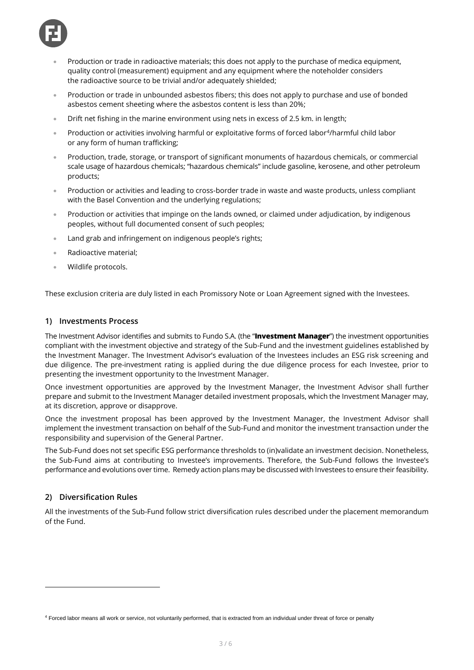

- Production or trade in radioactive materials; this does not apply to the purchase of medica equipment, quality control (measurement) equipment and any equipment where the noteholder considers the radioactive source to be trivial and/or adequately shielded;
- Production or trade in unbounded asbestos fibers; this does not apply to purchase and use of bonded asbestos cement sheeting where the asbestos content is less than 20%;
- Drift net fishing in the marine environment using nets in excess of 2.5 km. in length;
- Production or activities involving harmful or exploitative forms of forced labor<sup>4</sup>/harmful child labor or any form of human trafficking;
- Production, trade, storage, or transport of significant monuments of hazardous chemicals, or commercial scale usage of hazardous chemicals; "hazardous chemicals" include gasoline, kerosene, and other petroleum products;
- Production or activities and leading to cross-border trade in waste and waste products, unless compliant with the Basel Convention and the underlying regulations;
- Production or activities that impinge on the lands owned, or claimed under adjudication, by indigenous peoples, without full documented consent of such peoples;
- Land grab and infringement on indigenous people's rights;
- Radioactive material;
- Wildlife protocols.

These exclusion criteria are duly listed in each Promissory Note or Loan Agreement signed with the Investees.

#### **1) Investments Process**

The Investment Advisor identifies and submits to Fundo S.A. (the "**Investment Manager**") the investment opportunities compliant with the investment objective and strategy of the Sub-Fund and the investment guidelines established by the Investment Manager. The Investment Advisor's evaluation of the Investees includes an ESG risk screening and due diligence. The pre-investment rating is applied during the due diligence process for each Investee, prior to presenting the investment opportunity to the Investment Manager.

Once investment opportunities are approved by the Investment Manager, the Investment Advisor shall further prepare and submit to the Investment Manager detailed investment proposals, which the Investment Manager may, at its discretion, approve or disapprove.

Once the investment proposal has been approved by the Investment Manager, the Investment Advisor shall implement the investment transaction on behalf of the Sub-Fund and monitor the investment transaction under the responsibility and supervision of the General Partner.

The Sub-Fund does not set specific ESG performance thresholds to (in)validate an investment decision. Nonetheless, the Sub-Fund aims at contributing to Investee's improvements. Therefore, the Sub-Fund follows the Investee's performance and evolutions over time. Remedy action plans may be discussed with Investees to ensure their feasibility.

#### **2) Diversification Rules**

All the investments of the Sub-Fund follow strict diversification rules described under the placement memorandum of the Fund.

<sup>4</sup> Forced labor means all work or service, not voluntarily performed, that is extracted from an individual under threat of force or penalty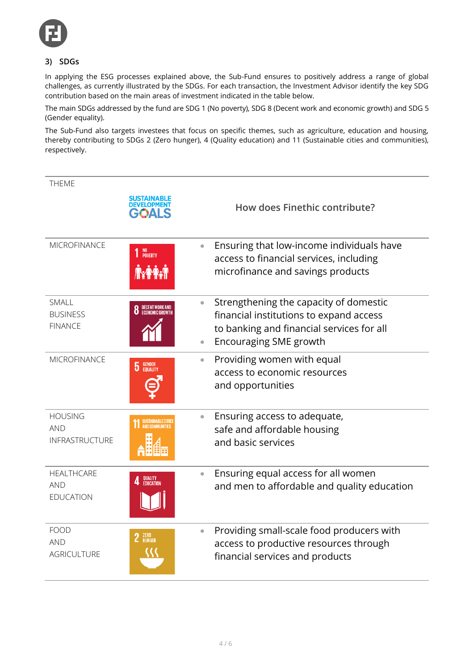

# **3) SDGs**

In applying the ESG processes explained above, the Sub-Fund ensures to positively address a range of global challenges, as currently illustrated by the SDGs. For each transaction, the Investment Advisor identify the key SDG contribution based on the main areas of investment indicated in the table below.

The main SDGs addressed by the fund are SDG 1 (No poverty), SDG 8 (Decent work and economic growth) and SDG 5 (Gender equality).

The Sub-Fund also targets investees that focus on specific themes, such as agriculture, education and housing, thereby contributing to SDGs 2 (Zero hunger), 4 (Quality education) and 11 (Sustainable cities and communities), respectively.

| <b>THEME</b>                                          |                                    |                                                                                                                                                                 |
|-------------------------------------------------------|------------------------------------|-----------------------------------------------------------------------------------------------------------------------------------------------------------------|
|                                                       | DEVELOPME                          | How does Finethic contribute?                                                                                                                                   |
| MICROFINANCE                                          | NO<br>POVERTY<br><b>Ax Part</b>    | Ensuring that low-income individuals have<br>$\bullet$<br>access to financial services, including<br>microfinance and savings products                          |
| <b>SMALL</b><br><b>BUSINESS</b><br><b>FINANCE</b>     | DECENT WORK AND<br>ECONOMIC GROWTH | Strengthening the capacity of domestic<br>financial institutions to expand access<br>to banking and financial services for all<br><b>Encouraging SME growth</b> |
| <b>MICROFINANCE</b>                                   | <b>GENDER</b><br>EQUALITY<br>5     | Providing women with equal<br>$\bullet$<br>access to economic resources<br>and opportunities                                                                    |
| <b>HOUSING</b><br><b>AND</b><br><b>INFRASTRUCTURE</b> | <b>SUSTAINABLE CITIE</b>           | Ensuring access to adequate,<br>$\bullet$<br>safe and affordable housing<br>and basic services                                                                  |
| <b>HEALTHCARE</b><br><b>AND</b><br>EDUCATION          | QUALITY<br>Education               | Ensuring equal access for all women<br>$\bullet$<br>and men to affordable and quality education                                                                 |
| <b>FOOD</b><br><b>AND</b><br><b>AGRICULTURE</b>       | ZERO<br>Hunger                     | Providing small-scale food producers with<br>$\bullet$<br>access to productive resources through<br>financial services and products                             |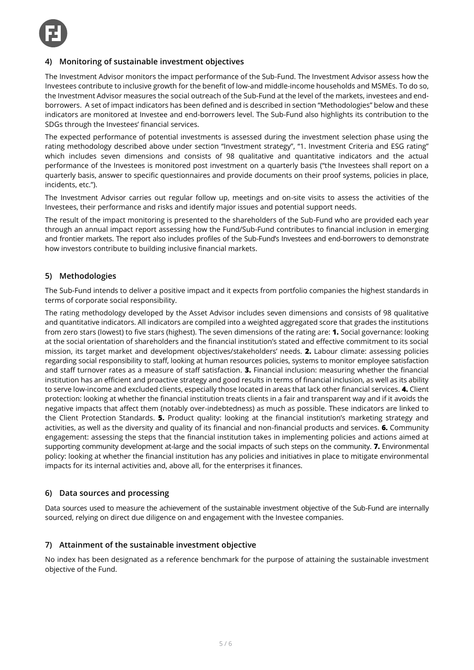

### **4) Monitoring of sustainable investment objectives**

The Investment Advisor monitors the impact performance of the Sub-Fund. The Investment Advisor assess how the Investees contribute to inclusive growth for the benefit of low-and middle-income households and MSMEs. To do so, the Investment Advisor measures the social outreach of the Sub-Fund at the level of the markets, investees and endborrowers. A set of impact indicators has been defined and is described in section "Methodologies" below and these indicators are monitored at Investee and end-borrowers level. The Sub-Fund also highlights its contribution to the SDGs through the Investees' financial services.

The expected performance of potential investments is assessed during the investment selection phase using the rating methodology described above under section "Investment strategy", "1. Investment Criteria and ESG rating" which includes seven dimensions and consists of 98 qualitative and quantitative indicators and the actual performance of the Investees is monitored post investment on a quarterly basis ("the Investees shall report on a quarterly basis, answer to specific questionnaires and provide documents on their proof systems, policies in place, incidents, etc.").

The Investment Advisor carries out regular follow up, meetings and on-site visits to assess the activities of the Investees, their performance and risks and identify major issues and potential support needs.

The result of the impact monitoring is presented to the shareholders of the Sub-Fund who are provided each year through an annual impact report assessing how the Fund/Sub-Fund contributes to financial inclusion in emerging and frontier markets. The report also includes profiles of the Sub-Fund's Investees and end-borrowers to demonstrate how investors contribute to building inclusive financial markets.

#### **5) Methodologies**

The Sub-Fund intends to deliver a positive impact and it expects from portfolio companies the highest standards in terms of corporate social responsibility.

The rating methodology developed by the Asset Advisor includes seven dimensions and consists of 98 qualitative and quantitative indicators. All indicators are compiled into a weighted aggregated score that grades the institutions from zero stars (lowest) to five stars (highest). The seven dimensions of the rating are: **1.** Social governance: looking at the social orientation of shareholders and the financial institution's stated and effective commitment to its social mission, its target market and development objectives/stakeholders' needs. **2.** Labour climate: assessing policies regarding social responsibility to staff, looking at human resources policies, systems to monitor employee satisfaction and staff turnover rates as a measure of staff satisfaction. **3.** Financial inclusion: measuring whether the financial institution has an efficient and proactive strategy and good results in terms of financial inclusion, as well as its ability to serve low-income and excluded clients, especially those located in areas that lack other financial services. **4.** Client protection: looking at whether the financial institution treats clients in a fair and transparent way and if it avoids the negative impacts that affect them (notably over-indebtedness) as much as possible. These indicators are linked to the Client Protection Standards. **5.** Product quality: looking at the financial institution's marketing strategy and activities, as well as the diversity and quality of its financial and non-financial products and services. **6.** Community engagement: assessing the steps that the financial institution takes in implementing policies and actions aimed at supporting community development at-large and the social impacts of such steps on the community. **7.** Environmental policy: looking at whether the financial institution has any policies and initiatives in place to mitigate environmental impacts for its internal activities and, above all, for the enterprises it finances.

#### **6) Data sources and processing**

Data sources used to measure the achievement of the sustainable investment objective of the Sub-Fund are internally sourced, relying on direct due diligence on and engagement with the Investee companies.

#### **7) Attainment of the sustainable investment objective**

No index has been designated as a reference benchmark for the purpose of attaining the sustainable investment objective of the Fund.